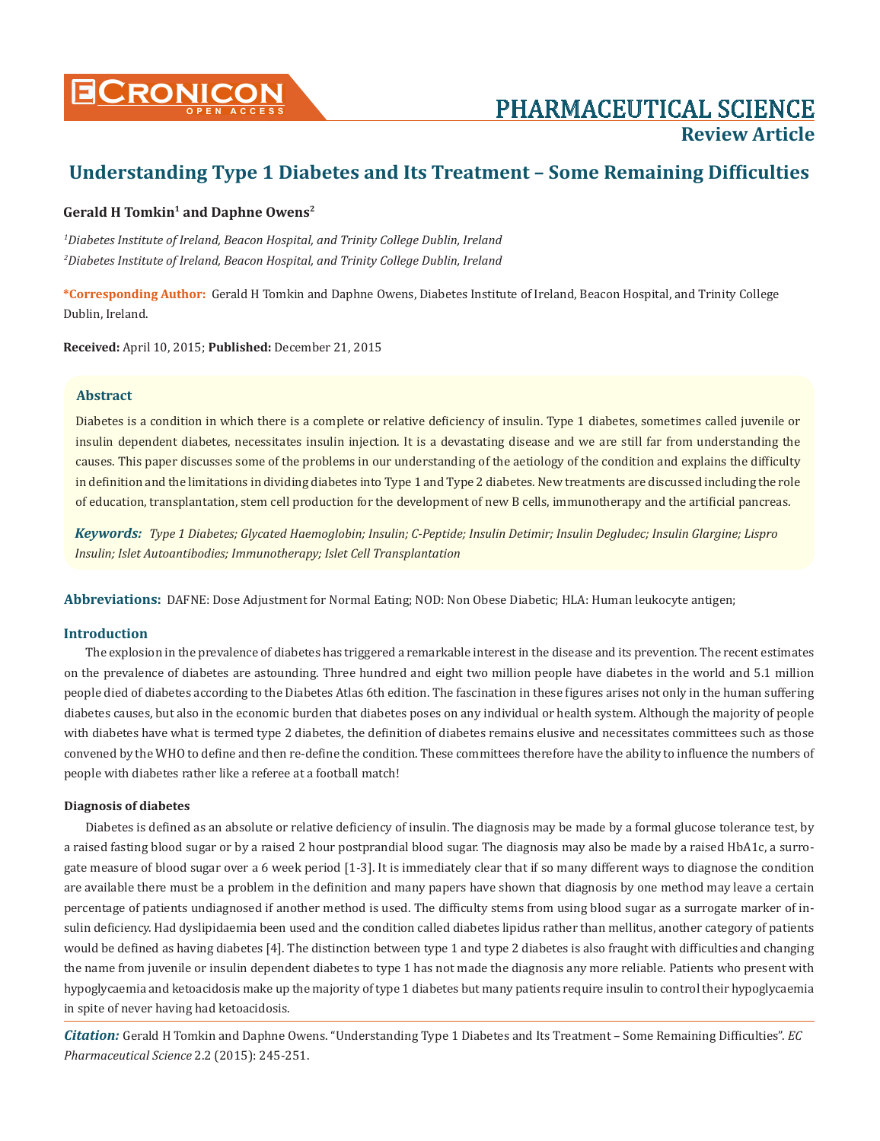

# **Review Article**

## **Understanding Type 1 Diabetes and Its Treatment – Some Remaining Difficulties**

## Gerald H Tomkin<sup>1</sup> and Daphne Owens<sup>2</sup>

*1 Diabetes Institute of Ireland, Beacon Hospital, and Trinity College Dublin, Ireland 2 Diabetes Institute of Ireland, Beacon Hospital, and Trinity College Dublin, Ireland*

**\*Corresponding Author:** Gerald H Tomkin and Daphne Owens, Diabetes Institute of Ireland, Beacon Hospital, and Trinity College Dublin, Ireland.

**Received:** April 10, 2015; **Published:** December 21, 2015

#### **Abstract**

Diabetes is a condition in which there is a complete or relative deficiency of insulin. Type 1 diabetes, sometimes called juvenile or insulin dependent diabetes, necessitates insulin injection. It is a devastating disease and we are still far from understanding the causes. This paper discusses some of the problems in our understanding of the aetiology of the condition and explains the difficulty in definition and the limitations in dividing diabetes into Type 1 and Type 2 diabetes. New treatments are discussed including the role of education, transplantation, stem cell production for the development of new B cells, immunotherapy and the artificial pancreas.

*Keywords: Type 1 Diabetes; Glycated Haemoglobin; Insulin; C-Peptide; Insulin Detimir; Insulin Degludec; Insulin Glargine; Lispro Insulin; Islet Autoantibodies; Immunotherapy; Islet Cell Transplantation*

**Abbreviations:** DAFNE: Dose Adjustment for Normal Eating; NOD: Non Obese Diabetic; HLA: Human leukocyte antigen;

#### **Introduction**

The explosion in the prevalence of diabetes has triggered a remarkable interest in the disease and its prevention. The recent estimates on the prevalence of diabetes are astounding. Three hundred and eight two million people have diabetes in the world and 5.1 million people died of diabetes according to the Diabetes Atlas 6th edition. The fascination in these figures arises not only in the human suffering diabetes causes, but also in the economic burden that diabetes poses on any individual or health system. Although the majority of people with diabetes have what is termed type 2 diabetes, the definition of diabetes remains elusive and necessitates committees such as those convened by the WHO to define and then re-define the condition. These committees therefore have the ability to influence the numbers of people with diabetes rather like a referee at a football match!

### **Diagnosis of diabetes**

Diabetes is defined as an absolute or relative deficiency of insulin. The diagnosis may be made by a formal glucose tolerance test, by a raised fasting blood sugar or by a raised 2 hour postprandial blood sugar. The diagnosis may also be made by a raised HbA1c, a surrogate measure of blood sugar over a 6 week period [1-3]. It is immediately clear that if so many different ways to diagnose the condition are available there must be a problem in the definition and many papers have shown that diagnosis by one method may leave a certain percentage of patients undiagnosed if another method is used. The difficulty stems from using blood sugar as a surrogate marker of insulin deficiency. Had dyslipidaemia been used and the condition called diabetes lipidus rather than mellitus, another category of patients would be defined as having diabetes [4]. The distinction between type 1 and type 2 diabetes is also fraught with difficulties and changing the name from juvenile or insulin dependent diabetes to type 1 has not made the diagnosis any more reliable. Patients who present with hypoglycaemia and ketoacidosis make up the majority of type 1 diabetes but many patients require insulin to control their hypoglycaemia in spite of never having had ketoacidosis.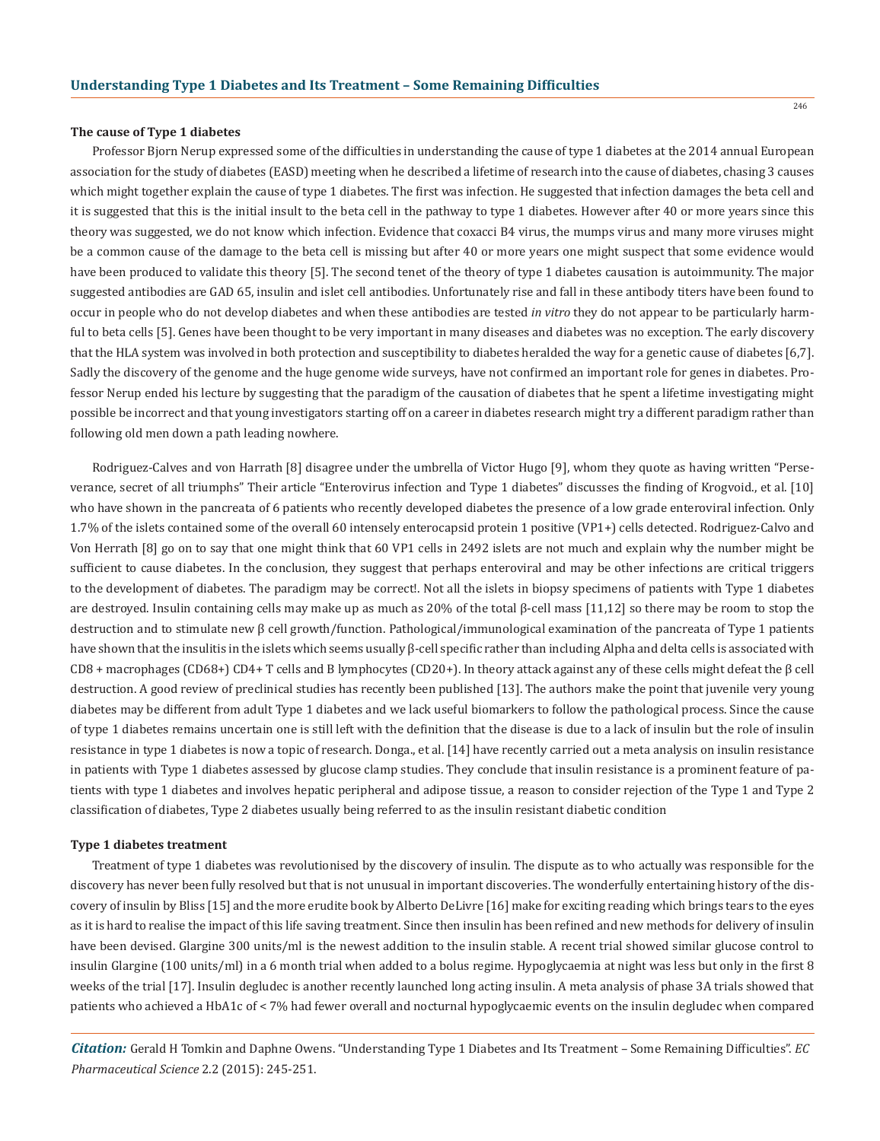#### **The cause of Type 1 diabetes**

Professor Bjorn Nerup expressed some of the difficulties in understanding the cause of type 1 diabetes at the 2014 annual European association for the study of diabetes (EASD) meeting when he described a lifetime of research into the cause of diabetes, chasing 3 causes which might together explain the cause of type 1 diabetes. The first was infection. He suggested that infection damages the beta cell and it is suggested that this is the initial insult to the beta cell in the pathway to type 1 diabetes. However after 40 or more years since this theory was suggested, we do not know which infection. Evidence that coxacci B4 virus, the mumps virus and many more viruses might be a common cause of the damage to the beta cell is missing but after 40 or more years one might suspect that some evidence would have been produced to validate this theory [5]. The second tenet of the theory of type 1 diabetes causation is autoimmunity. The major suggested antibodies are GAD 65, insulin and islet cell antibodies. Unfortunately rise and fall in these antibody titers have been found to occur in people who do not develop diabetes and when these antibodies are tested *in vitro* they do not appear to be particularly harmful to beta cells [5]. Genes have been thought to be very important in many diseases and diabetes was no exception. The early discovery that the HLA system was involved in both protection and susceptibility to diabetes heralded the way for a genetic cause of diabetes [6,7]. Sadly the discovery of the genome and the huge genome wide surveys, have not confirmed an important role for genes in diabetes. Professor Nerup ended his lecture by suggesting that the paradigm of the causation of diabetes that he spent a lifetime investigating might possible be incorrect and that young investigators starting off on a career in diabetes research might try a different paradigm rather than following old men down a path leading nowhere.

Rodriguez-Calves and von Harrath [8] disagree under the umbrella of Victor Hugo [9], whom they quote as having written "Perseverance, secret of all triumphs" Their article "Enterovirus infection and Type 1 diabetes" discusses the finding of Krogvoid., et al. [10] who have shown in the pancreata of 6 patients who recently developed diabetes the presence of a low grade enteroviral infection. Only 1.7% of the islets contained some of the overall 60 intensely enterocapsid protein 1 positive (VP1+) cells detected. Rodriguez-Calvo and Von Herrath [8] go on to say that one might think that 60 VP1 cells in 2492 islets are not much and explain why the number might be sufficient to cause diabetes. In the conclusion, they suggest that perhaps enteroviral and may be other infections are critical triggers to the development of diabetes. The paradigm may be correct!. Not all the islets in biopsy specimens of patients with Type 1 diabetes are destroyed. Insulin containing cells may make up as much as 20% of the total β-cell mass [11,12] so there may be room to stop the destruction and to stimulate new β cell growth/function. Pathological/immunological examination of the pancreata of Type 1 patients have shown that the insulitis in the islets which seems usually β-cell specific rather than including Alpha and delta cells is associated with CD8 + macrophages (CD68+) CD4+ T cells and B lymphocytes (CD20+). In theory attack against any of these cells might defeat the β cell destruction. A good review of preclinical studies has recently been published [13]. The authors make the point that juvenile very young diabetes may be different from adult Type 1 diabetes and we lack useful biomarkers to follow the pathological process. Since the cause of type 1 diabetes remains uncertain one is still left with the definition that the disease is due to a lack of insulin but the role of insulin resistance in type 1 diabetes is now a topic of research. Donga., et al. [14] have recently carried out a meta analysis on insulin resistance in patients with Type 1 diabetes assessed by glucose clamp studies. They conclude that insulin resistance is a prominent feature of patients with type 1 diabetes and involves hepatic peripheral and adipose tissue, a reason to consider rejection of the Type 1 and Type 2 classification of diabetes, Type 2 diabetes usually being referred to as the insulin resistant diabetic condition

#### **Type 1 diabetes treatment**

Treatment of type 1 diabetes was revolutionised by the discovery of insulin. The dispute as to who actually was responsible for the discovery has never been fully resolved but that is not unusual in important discoveries. The wonderfully entertaining history of the discovery of insulin by Bliss [15] and the more erudite book by Alberto DeLivre [16] make for exciting reading which brings tears to the eyes as it is hard to realise the impact of this life saving treatment. Since then insulin has been refined and new methods for delivery of insulin have been devised. Glargine 300 units/ml is the newest addition to the insulin stable. A recent trial showed similar glucose control to insulin Glargine (100 units/ml) in a 6 month trial when added to a bolus regime. Hypoglycaemia at night was less but only in the first 8 weeks of the trial [17]. Insulin degludec is another recently launched long acting insulin. A meta analysis of phase 3A trials showed that patients who achieved a HbA1c of < 7% had fewer overall and nocturnal hypoglycaemic events on the insulin degludec when compared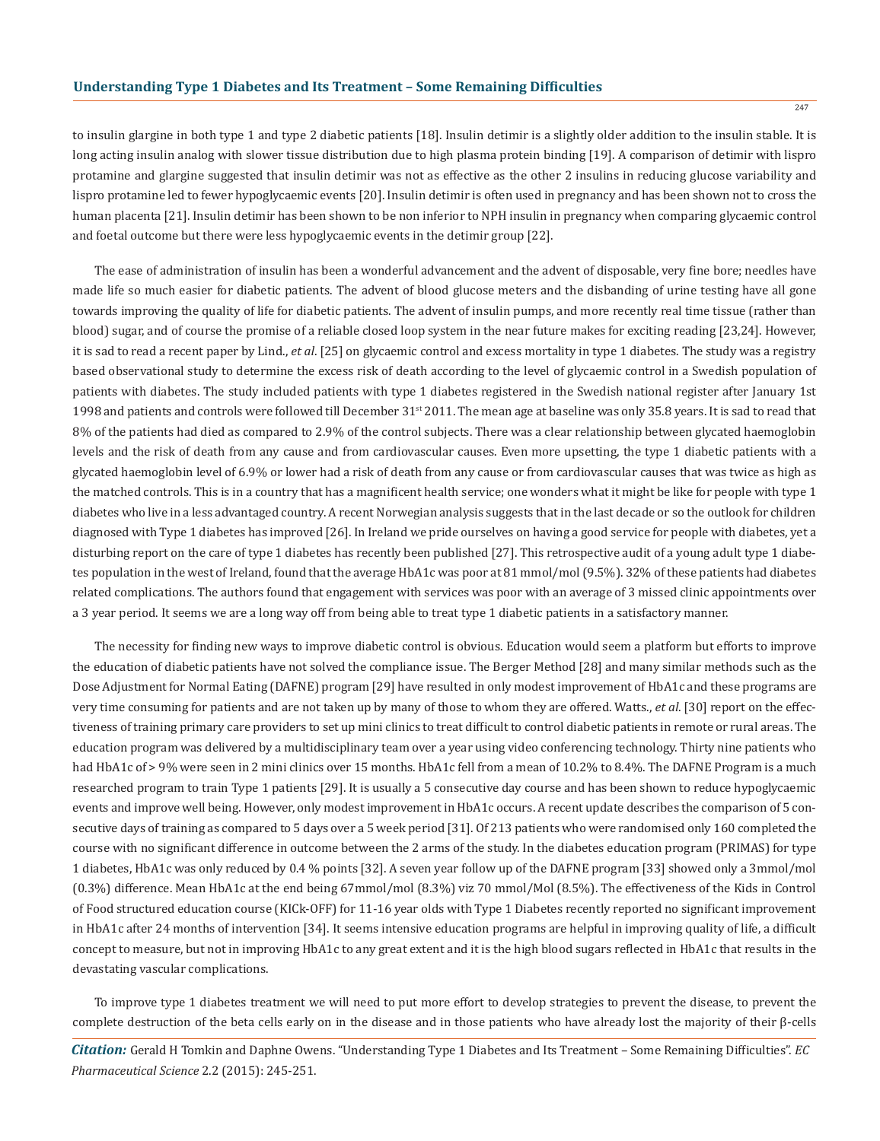247

to insulin glargine in both type 1 and type 2 diabetic patients [18]. Insulin detimir is a slightly older addition to the insulin stable. It is long acting insulin analog with slower tissue distribution due to high plasma protein binding [19]. A comparison of detimir with lispro protamine and glargine suggested that insulin detimir was not as effective as the other 2 insulins in reducing glucose variability and lispro protamine led to fewer hypoglycaemic events [20]. Insulin detimir is often used in pregnancy and has been shown not to cross the human placenta [21]. Insulin detimir has been shown to be non inferior to NPH insulin in pregnancy when comparing glycaemic control and foetal outcome but there were less hypoglycaemic events in the detimir group [22].

The ease of administration of insulin has been a wonderful advancement and the advent of disposable, very fine bore; needles have made life so much easier for diabetic patients. The advent of blood glucose meters and the disbanding of urine testing have all gone towards improving the quality of life for diabetic patients. The advent of insulin pumps, and more recently real time tissue (rather than blood) sugar, and of course the promise of a reliable closed loop system in the near future makes for exciting reading [23,24]. However, it is sad to read a recent paper by Lind., *et al*. [25] on glycaemic control and excess mortality in type 1 diabetes. The study was a registry based observational study to determine the excess risk of death according to the level of glycaemic control in a Swedish population of patients with diabetes. The study included patients with type 1 diabetes registered in the Swedish national register after January 1st 1998 and patients and controls were followed till December 31<sup>st</sup> 2011. The mean age at baseline was only 35.8 years. It is sad to read that 8% of the patients had died as compared to 2.9% of the control subjects. There was a clear relationship between glycated haemoglobin levels and the risk of death from any cause and from cardiovascular causes. Even more upsetting, the type 1 diabetic patients with a glycated haemoglobin level of 6.9% or lower had a risk of death from any cause or from cardiovascular causes that was twice as high as the matched controls. This is in a country that has a magnificent health service; one wonders what it might be like for people with type 1 diabetes who live in a less advantaged country. A recent Norwegian analysis suggests that in the last decade or so the outlook for children diagnosed with Type 1 diabetes has improved [26]. In Ireland we pride ourselves on having a good service for people with diabetes, yet a disturbing report on the care of type 1 diabetes has recently been published [27]. This retrospective audit of a young adult type 1 diabetes population in the west of Ireland, found that the average HbA1c was poor at 81 mmol/mol (9.5%). 32% of these patients had diabetes related complications. The authors found that engagement with services was poor with an average of 3 missed clinic appointments over a 3 year period. It seems we are a long way off from being able to treat type 1 diabetic patients in a satisfactory manner.

The necessity for finding new ways to improve diabetic control is obvious. Education would seem a platform but efforts to improve the education of diabetic patients have not solved the compliance issue. The Berger Method [28] and many similar methods such as the Dose Adjustment for Normal Eating (DAFNE) program [29] have resulted in only modest improvement of HbA1c and these programs are very time consuming for patients and are not taken up by many of those to whom they are offered. Watts., *et al*. [30] report on the effectiveness of training primary care providers to set up mini clinics to treat difficult to control diabetic patients in remote or rural areas. The education program was delivered by a multidisciplinary team over a year using video conferencing technology. Thirty nine patients who had HbA1c of > 9% were seen in 2 mini clinics over 15 months. HbA1c fell from a mean of 10.2% to 8.4%. The DAFNE Program is a much researched program to train Type 1 patients [29]. It is usually a 5 consecutive day course and has been shown to reduce hypoglycaemic events and improve well being. However, only modest improvement in HbA1c occurs. A recent update describes the comparison of 5 consecutive days of training as compared to 5 days over a 5 week period [31]. Of 213 patients who were randomised only 160 completed the course with no significant difference in outcome between the 2 arms of the study. In the diabetes education program (PRIMAS) for type 1 diabetes, HbA1c was only reduced by 0.4 % points [32]. A seven year follow up of the DAFNE program [33] showed only a 3mmol/mol (0.3%) difference. Mean HbA1c at the end being 67mmol/mol (8.3%) viz 70 mmol/Mol (8.5%). The effectiveness of the Kids in Control of Food structured education course (KICk-OFF) for 11-16 year olds with Type 1 Diabetes recently reported no significant improvement in HbA1c after 24 months of intervention [34]. It seems intensive education programs are helpful in improving quality of life, a difficult concept to measure, but not in improving HbA1c to any great extent and it is the high blood sugars reflected in HbA1c that results in the devastating vascular complications.

To improve type 1 diabetes treatment we will need to put more effort to develop strategies to prevent the disease, to prevent the complete destruction of the beta cells early on in the disease and in those patients who have already lost the majority of their β-cells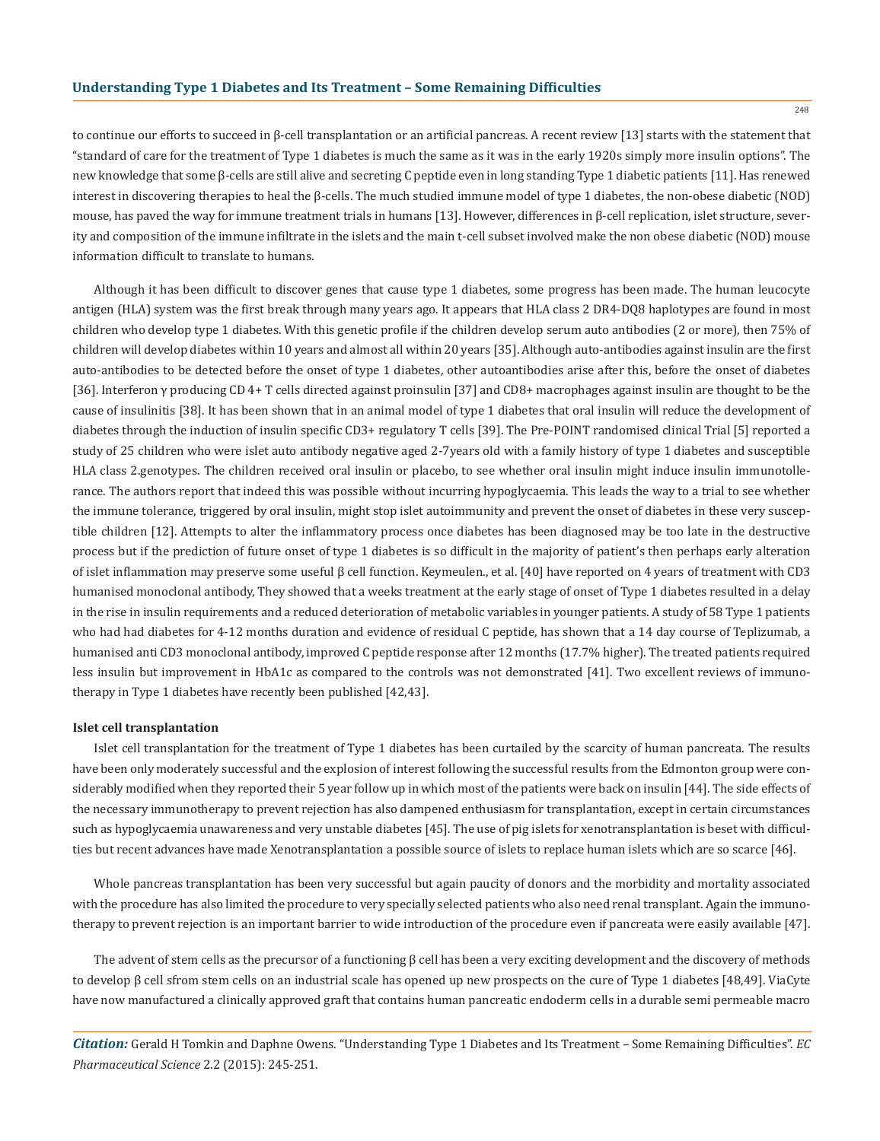248

to continue our efforts to succeed in β-cell transplantation or an artificial pancreas. A recent review [13] starts with the statement that "standard of care for the treatment of Type 1 diabetes is much the same as it was in the early 1920s simply more insulin options". The new knowledge that some β-cells are still alive and secreting C peptide even in long standing Type 1 diabetic patients [11]. Has renewed interest in discovering therapies to heal the β-cells. The much studied immune model of type 1 diabetes, the non-obese diabetic (NOD) mouse, has paved the way for immune treatment trials in humans [13]. However, differences in β-cell replication, islet structure, severity and composition of the immune infiltrate in the islets and the main t-cell subset involved make the non obese diabetic (NOD) mouse information difficult to translate to humans.

Although it has been difficult to discover genes that cause type 1 diabetes, some progress has been made. The human leucocyte antigen (HLA) system was the first break through many years ago. It appears that HLA class 2 DR4-DQ8 haplotypes are found in most children who develop type 1 diabetes. With this genetic profile if the children develop serum auto antibodies (2 or more), then 75% of children will develop diabetes within 10 years and almost all within 20 years [35]. Although auto-antibodies against insulin are the first auto-antibodies to be detected before the onset of type 1 diabetes, other autoantibodies arise after this, before the onset of diabetes [36]. Interferon γ producing CD 4+ T cells directed against proinsulin [37] and CD8+ macrophages against insulin are thought to be the cause of insulinitis [38]. It has been shown that in an animal model of type 1 diabetes that oral insulin will reduce the development of diabetes through the induction of insulin specific CD3+ regulatory T cells [39]. The Pre-POINT randomised clinical Trial [5] reported a study of 25 children who were islet auto antibody negative aged 2-7years old with a family history of type 1 diabetes and susceptible HLA class 2.genotypes. The children received oral insulin or placebo, to see whether oral insulin might induce insulin immunotollerance. The authors report that indeed this was possible without incurring hypoglycaemia. This leads the way to a trial to see whether the immune tolerance, triggered by oral insulin, might stop islet autoimmunity and prevent the onset of diabetes in these very susceptible children [12]. Attempts to alter the inflammatory process once diabetes has been diagnosed may be too late in the destructive process but if the prediction of future onset of type 1 diabetes is so difficult in the majority of patient's then perhaps early alteration of islet inflammation may preserve some useful β cell function. Keymeulen., et al. [40] have reported on 4 years of treatment with CD3 humanised monoclonal antibody, They showed that a weeks treatment at the early stage of onset of Type 1 diabetes resulted in a delay in the rise in insulin requirements and a reduced deterioration of metabolic variables in younger patients. A study of 58 Type 1 patients who had had diabetes for 4-12 months duration and evidence of residual C peptide, has shown that a 14 day course of Teplizumab, a humanised anti CD3 monoclonal antibody, improved C peptide response after 12 months (17.7% higher). The treated patients required less insulin but improvement in HbA1c as compared to the controls was not demonstrated [41]. Two excellent reviews of immunotherapy in Type 1 diabetes have recently been published [42,43].

#### **Islet cell transplantation**

Islet cell transplantation for the treatment of Type 1 diabetes has been curtailed by the scarcity of human pancreata. The results have been only moderately successful and the explosion of interest following the successful results from the Edmonton group were considerably modified when they reported their 5 year follow up in which most of the patients were back on insulin [44]. The side effects of the necessary immunotherapy to prevent rejection has also dampened enthusiasm for transplantation, except in certain circumstances such as hypoglycaemia unawareness and very unstable diabetes [45]. The use of pig islets for xenotransplantation is beset with difficulties but recent advances have made Xenotransplantation a possible source of islets to replace human islets which are so scarce [46].

Whole pancreas transplantation has been very successful but again paucity of donors and the morbidity and mortality associated with the procedure has also limited the procedure to very specially selected patients who also need renal transplant. Again the immunotherapy to prevent rejection is an important barrier to wide introduction of the procedure even if pancreata were easily available [47].

The advent of stem cells as the precursor of a functioning β cell has been a very exciting development and the discovery of methods to develop β cell sfrom stem cells on an industrial scale has opened up new prospects on the cure of Type 1 diabetes [48,49]. ViaCyte have now manufactured a clinically approved graft that contains human pancreatic endoderm cells in a durable semi permeable macro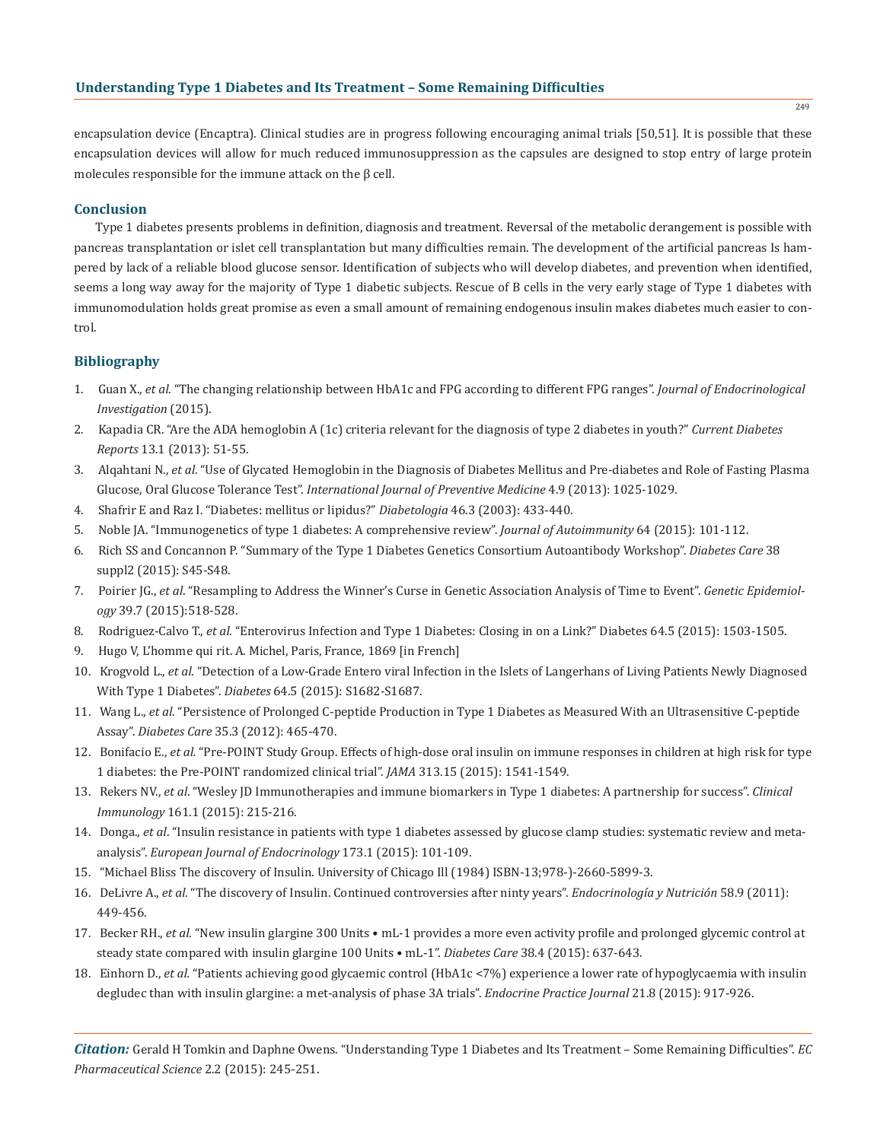## **Understanding Type 1 Diabetes and Its Treatment – Some Remaining Difficulties**

encapsulation device (Encaptra). Clinical studies are in progress following encouraging animal trials [50,51]. It is possible that these encapsulation devices will allow for much reduced immunosuppression as the capsules are designed to stop entry of large protein molecules responsible for the immune attack on the β cell.

## **Conclusion**

Type 1 diabetes presents problems in definition, diagnosis and treatment. Reversal of the metabolic derangement is possible with pancreas transplantation or islet cell transplantation but many difficulties remain. The development of the artificial pancreas Is hampered by lack of a reliable blood glucose sensor. Identification of subjects who will develop diabetes, and prevention when identified, seems a long way away for the majority of Type 1 diabetic subjects. Rescue of B cells in the very early stage of Type 1 diabetes with immunomodulation holds great promise as even a small amount of remaining endogenous insulin makes diabetes much easier to control.

## **Bibliography**

- 1. Guan X., *et al*. "The changing relationship between HbA1c and FPG according to different FPG ranges". *Journal of Endocrinological Investigation* (2015).
- 2. Kapadia CR. "Are the ADA hemoglobin A (1c) criteria relevant for the diagnosis of type 2 diabetes in youth?" *Current Diabetes Reports* 13.1 (2013): 51-55.
- 3. Alqahtani N., *et al*. "Use of Glycated Hemoglobin in the Diagnosis of Diabetes Mellitus and Pre-diabetes and Role of Fasting Plasma Glucose, Oral Glucose Tolerance Test". *International Journal of Preventive Medicine* 4.9 (2013): 1025-1029.
- 4. Shafrir E and Raz I. "Diabetes: mellitus or lipidus?" *Diabetologia* 46.3 (2003): 433-440.
- 5. Noble JA. "Immunogenetics of type 1 diabetes: A comprehensive review". *Journal of Autoimmunity* 64 (2015): 101-112.
- 6. Rich SS and Concannon P. "Summary of the Type 1 Diabetes Genetics Consortium Autoantibody Workshop". *Diabetes Care* 38 suppl2 (2015): S45-S48.
- 7. Poirier JG., *et al*. "Resampling to Address the Winner's Curse in Genetic Association Analysis of Time to Event". *Genetic Epidemiol ogy* 39.7 (2015):518-528.
- 8. Rodriguez-Calvo T., *et al*. "Enterovirus Infection and Type 1 Diabetes: Closing in on a Link?" Diabetes 64.5 (2015): 1503-1505.
- 9. Hugo V, L'homme qui rit. A. Michel, Paris, France, 1869 [in French]
- 10. Krogvold L., *et al*. "Detection of a Low-Grade Entero viral Infection in the Islets of Langerhans of Living Patients Newly Diagnosed With Type 1 Diabetes". *Diabetes* 64.5 (2015): S1682-S1687.
- 11. Wang L., *et al*. "Persistence of Prolonged C-peptide Production in Type 1 Diabetes as Measured With an Ultrasensitive C-peptide Assay". *Diabetes Care* 35.3 (2012): 465-470.
- 12. Bonifacio E., *et al.* "Pre-POINT Study Group. Effects of high-dose oral insulin on immune responses in children at high risk for type 1 diabetes: the Pre-POINT randomized clinical trial". *JAMA* 313.15 (2015): 1541-1549.
- 13. Rekers NV., *et al*. "Wesley JD Immunotherapies and immune biomarkers in Type 1 diabetes: A partnership for success". *Clinical Immunology* 161.1 (2015): 215-216.
- 14. Donga., *et al*. "Insulin resistance in patients with type 1 diabetes assessed by glucose clamp studies: systematic review and meta analysis". *European Journal of Endocrinology* 173.1 (2015): 101-109.
- 15. "Michael Bliss The discovery of Insulin. University of Chicago Ill (1984) ISBN-13;978-)-2660-5899-3.
- 16. DeLivre A., *et al*. "The discovery of Insulin. Continued controversies after ninty years". *Endocrinología y Nutrición* 58.9 (2011): 449-456.
- 17. Becker RH., *et al*. "New insulin glargine 300 Units mL-1 provides a more even activity profile and prolonged glycemic control at steady state compared with insulin glargine 100 Units • mL-1". *Diabetes Care* 38.4 (2015): 637-643.
- 18. Einhorn D., *et al.* "Patients achieving good glycaemic control (HbA1c <7%) experience a lower rate of hypoglycaemia with insulin degludec than with insulin glargine: a met-analysis of phase 3A trials". *Endocrine Practice Journal* 21.8 (2015): 917-926.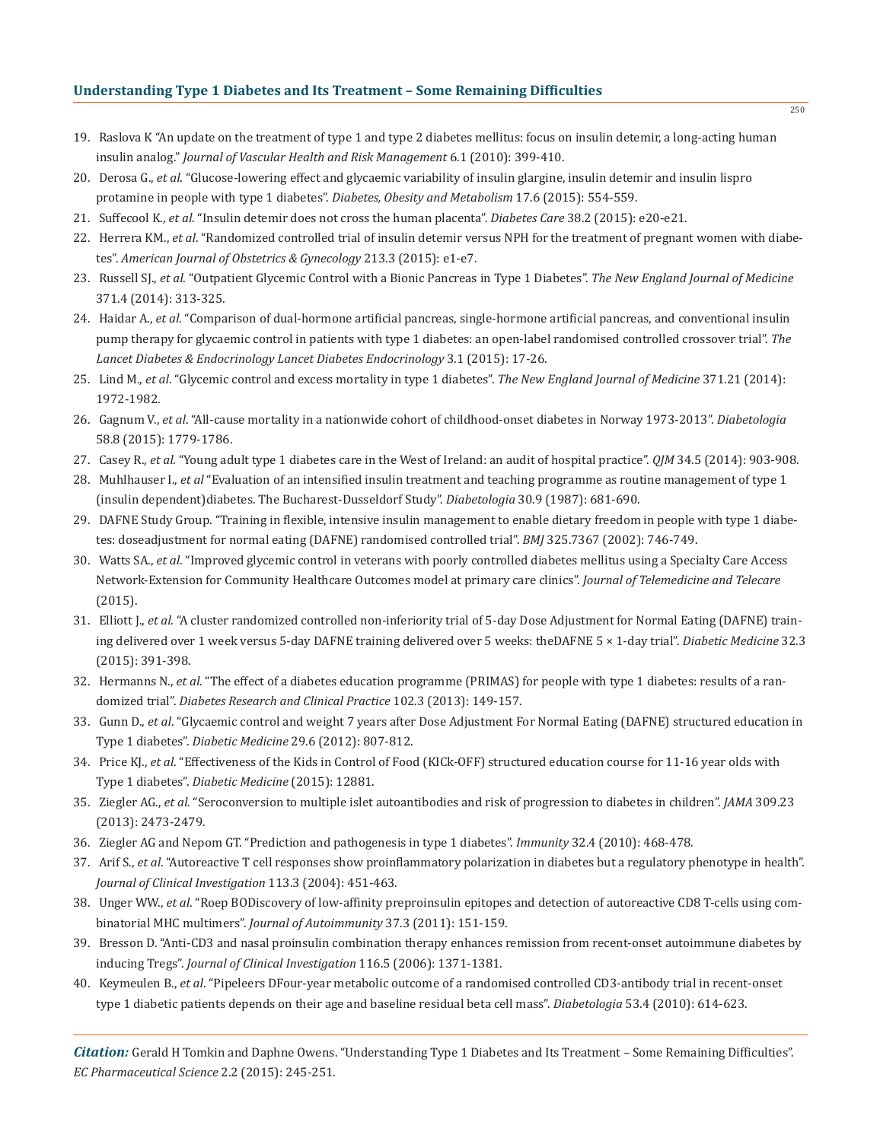## **Understanding Type 1 Diabetes and Its Treatment – Some Remaining Difficulties**

- 19. Raslova K "An update on the treatment of type 1 and type 2 diabetes mellitus: focus on insulin detemir, a long-acting human insulin analog." *Journal of Vascular Health and Risk Management* 6.1 (2010): 399-410.
- 20. Derosa G., *et al*. "Glucose-lowering effect and glycaemic variability of insulin glargine, insulin detemir and insulin lispro protamine in people with type 1 diabetes". *Diabetes, Obesity and Metabolism* 17.6 (2015): 554-559.
- 21. Suffecool K., *et al*. "Insulin detemir does not cross the human placenta". *Diabetes Care* 38.2 (2015): e20-e21.
- 22. Herrera KM., *et al*. "Randomized controlled trial of insulin detemir versus NPH for the treatment of pregnant women with diabe tes". *American Journal of Obstetrics & Gynecology* 213.3 (2015): e1-e7.
- 23. Russell SJ., *et al*. "Outpatient Glycemic Control with a Bionic Pancreas in Type 1 Diabetes". *The New England Journal of Medicine* 371.4 (2014): 313-325.
- 24. Haidar A., *et al*. "Comparison of dual-hormone artificial pancreas, single-hormone artificial pancreas, and conventional insulin pump therapy for glycaemic control in patients with type 1 diabetes: an open-label randomised controlled crossover trial". *The Lancet Diabetes & Endocrinology Lancet Diabetes Endocrinology* 3.1 (2015): 17-26.
- 25. Lind M., *et al*. "Glycemic control and excess mortality in type 1 diabetes". *The New England Journal of Medicine* 371.21 (2014): 1972-1982.
- 26. Gagnum V., *et al*. "All-cause mortality in a nationwide cohort of childhood-onset diabetes in Norway 1973-2013". *Diabetologia* 58.8 (2015): 1779-1786.
- 27. Casey R., *et al*. "Young adult type 1 diabetes care in the West of Ireland: an audit of hospital practice". *QJM* 34.5 (2014): 903-908.
- 28. Muhlhauser I., *et al* "Evaluation of an intensified insulin treatment and teaching programme as routine management of type 1 (insulin dependent)diabetes. The Bucharest-Dusseldorf Study". *Diabetologia* 30.9 (1987): 681-690.
- 29. DAFNE Study Group. "Training in flexible, intensive insulin management to enable dietary freedom in people with type 1 diabe tes: doseadjustment for normal eating (DAFNE) randomised controlled trial". *BMJ* 325.7367 (2002): 746-749.
- 30. Watts SA., *et al*. "Improved glycemic control in veterans with poorly controlled diabetes mellitus using a Specialty Care Access Network-Extension for Community Healthcare Outcomes model at primary care clinics". *Journal of Telemedicine and Telecare*  (2015).
- 31. Elliott J., *et al*. "A cluster randomized controlled non-inferiority trial of 5-day Dose Adjustment for Normal Eating (DAFNE) train ing delivered over 1 week versus 5-day DAFNE training delivered over 5 weeks: theDAFNE 5 × 1-day trial". *Diabetic Medicine* 32.3 (2015): 391-398.
- 32. Hermanns N., *et al.* "The effect of a diabetes education programme (PRIMAS) for people with type 1 diabetes: results of a ran domized trial". *Diabetes Research and Clinical Practice* 102.3 (2013): 149-157.
- 33. Gunn D., *et al*. "Glycaemic control and weight 7 years after Dose Adjustment For Normal Eating (DAFNE) structured education in Type 1 diabetes". *Diabetic Medicine* 29.6 (2012): 807-812.
- 34. Price KJ., *et al*. "Effectiveness of the Kids in Control of Food (KICk-OFF) structured education course for 11-16 year olds with Type 1 diabetes". *Diabetic Medicine* (2015): 12881.
- 35. Ziegler AG., *et al.* "Seroconversion to multiple islet autoantibodies and risk of progression to diabetes in children". *JAMA* 309.23 (2013): 2473-2479.
- 36. Ziegler AG and Nepom GT. "Prediction and pathogenesis in type 1 diabetes". *Immunity* 32.4 (2010): 468-478.
- 37. Arif S., *et al*. "Autoreactive T cell responses show proinflammatory polarization in diabetes but a regulatory phenotype in health". *Journal of Clinical Investigation* 113.3 (2004): 451-463.
- 38. Unger WW., *et al*. "Roep BODiscovery of low-affinity preproinsulin epitopes and detection of autoreactive CD8 T-cells using com binatorial MHC multimers". *Journal of Autoimmunity* 37.3 (2011): 151-159.
- 39. Bresson D. "Anti-CD3 and nasal proinsulin combination therapy enhances remission from recent-onset autoimmune diabetes by inducing Tregs". *Journal of Clinical Investigation* 116.5 (2006): 1371-1381.
- 40. Keymeulen B., *et al*. "Pipeleers DFour-year metabolic outcome of a randomised controlled CD3-antibody trial in recent-onset type 1 diabetic patients depends on their age and baseline residual beta cell mass". *Diabetologia* 53.4 (2010): 614-623.

*Citation:* Gerald H Tomkin and Daphne Owens. "Understanding Type 1 Diabetes and Its Treatment – Some Remaining Difficulties". *EC Pharmaceutical Science* 2.2 (2015): 245-251.

250